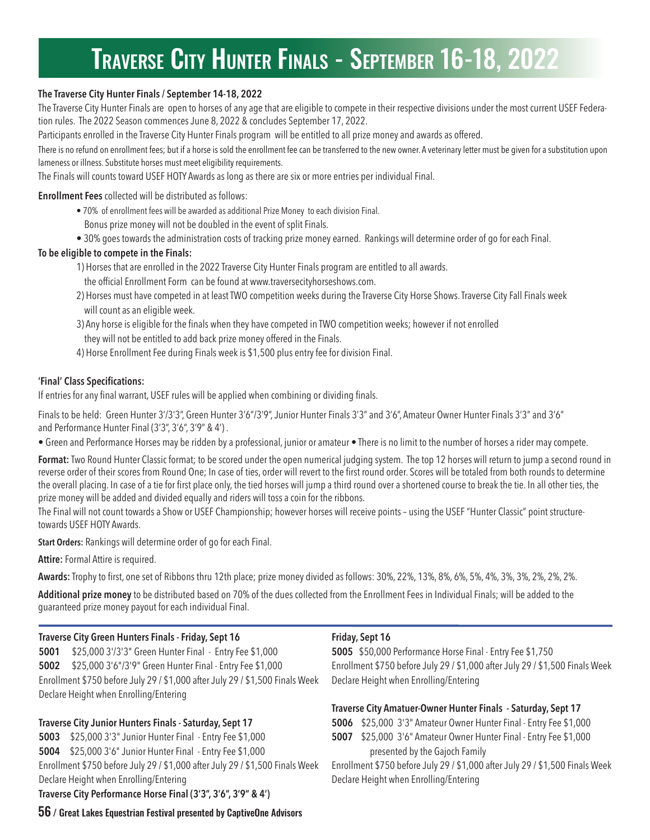# TRAVERSE CITY HUNTER FINALS - SEPTEMBER 16-18, 2022

### **The Traverse City Hunter Finals / September 14-18, 2022**

The Traverse City Hunter Finals are open to horses of any age that are eligible to compete in their respective divisions under the most current USEF Federation rules. The 2022 Season commences June 8, 2022 & concludes September 17, 2022.

Participants enrolled in the Traverse City Hunter Finals program will be entitled to all prize money and awards as offered.

There is no refund on enrollment fees; but if a horse is sold the enrollment fee can be transferred to the new owner. A veterinary letter must be given for a substitution upon lameness or illness. Substitute horses must meet eligibility requirements.

The Finals will counts toward USEF HOTY Awards as long as there are six or more entries per individual Final.

**Enrollment Fees** collected will be distributed as follows:

- 70% of enrollment fees will be awarded as additional Prize Money to each division Final.
	- Bonus prize money will not be doubled in the event of split Finals.
- 30% goes towards the administration costs of tracking prize money earned. Rankings will determine order of go for each Final.

### **To be eligible to compete in the Finals:**

- 1) Horses that are enrolled in the 2022 Traverse City Hunter Finals program are entitled to all awards.
	- the official Enrollment Form can be found at www.traversecityhorseshows.com.
- 2) Horses must have competed in at least TWO competition weeks during the Traverse City Horse Shows. Traverse City Fall Finals week will count as an eligible week.
- 3) Any horse is eligible for the finals when they have competed in TWO competition weeks; however if not enrolled they will not be entitled to add back prize money offered in the Finals.
- 4) Horse Enrollment Fee during Finals week is \$1,500 plus entry fee for division Final.

### **'Final' Class Specifications:**

If entries for any final warrant, USEF rules will be applied when combining or dividing finals.

Finals to be held: Green Hunter 3'/3'3", Green Hunter 3'6"/3'9", Junior Hunter Finals 3'3" and 3'6", Amateur Owner Hunter Finals 3'3" and 3'6" and Performance Hunter Final (3'3", 3'6", 3'9" & 4') .

• Green and Performance Horses may be ridden by a professional, junior or amateur • There is no limit to the number of horses a rider may compete.

**Format:** Two Round Hunter Classic format; to be scored under the open numerical judging system. The top 12 horses will return to jump a second round in reverse order of their scores from Round One; In case of ties, order will revert to the first round order. Scores will be totaled from both rounds to determine the overall placing. In case of a tie for first place only, the tied horses will jump a third round over a shortened course to break the tie. In all other ties, the prize money will be added and divided equally and riders will toss a coin for the ribbons.

The Final will not count towards a Show or USEF Championship; however horses will receive points – using the USEF "Hunter Classic" point structuretowards USEF HOTY Awards.

**Start Orders:** Rankings will determine order of go for each Final.

**Attire:** Formal Attire is required.

**Awards:** Trophy to first, one set of Ribbons thru 12th place; prize money divided as follows: 30%, 22%, 13%, 8%, 6%, 5%, 4%, 3%, 3%, 2%, 2%, 2%.

**Additional prize money** to be distributed based on 70% of the dues collected from the Enrollment Fees in Individual Finals; will be added to the guaranteed prize money payout for each individual Final.

### **Traverse City Green Hunters Finals - Friday, Sept 16**

**5001** \$25,000 3'/3'3" Green Hunter Final - Entry Fee \$1,000 **5002** \$25,000 3'6"/3'9" Green Hunter Final - Entry Fee \$1,000 Enrollment \$750 before July 29 / \$1,000 after July 29 / \$1,500 Finals Week Declare Height when Enrolling/Entering

### **Traverse City Junior Hunters Finals - Saturday, Sept 17**

**5003** \$25,000 3'3" Junior Hunter Final - Entry Fee \$1,000 **5004** \$25,000 3'6" Junior Hunter Final - Entry Fee \$1,000 Enrollment \$750 before July 29 / \$1,000 after July 29 / \$1,500 Finals Week Declare Height when Enrolling/Entering **Traverse City Performance Horse Final (3'3", 3'6", 3'9" & 4')**

### **Friday, Sept 16**

**5005** \$50,000 Performance Horse Final - Entry Fee \$1,750 Enrollment \$750 before July 29 / \$1,000 after July 29 / \$1,500 Finals Week Declare Height when Enrolling/Entering

### **Traverse City Amatuer-Owner Hunter Finals - Saturday, Sept 17**

**5006** \$25,000 3'3" Amateur Owner Hunter Final - Entry Fee \$1,000

**5007** \$25,000 3'6" Amateur Owner Hunter Final - Entry Fee \$1,000 presented by the Gajoch Family

Enrollment \$750 before July 29 / \$1,000 after July 29 / \$1,500 Finals Week Declare Height when Enrolling/Entering

56 / Great Lakes Equestrian Festival presented by CaptiveOne Advisors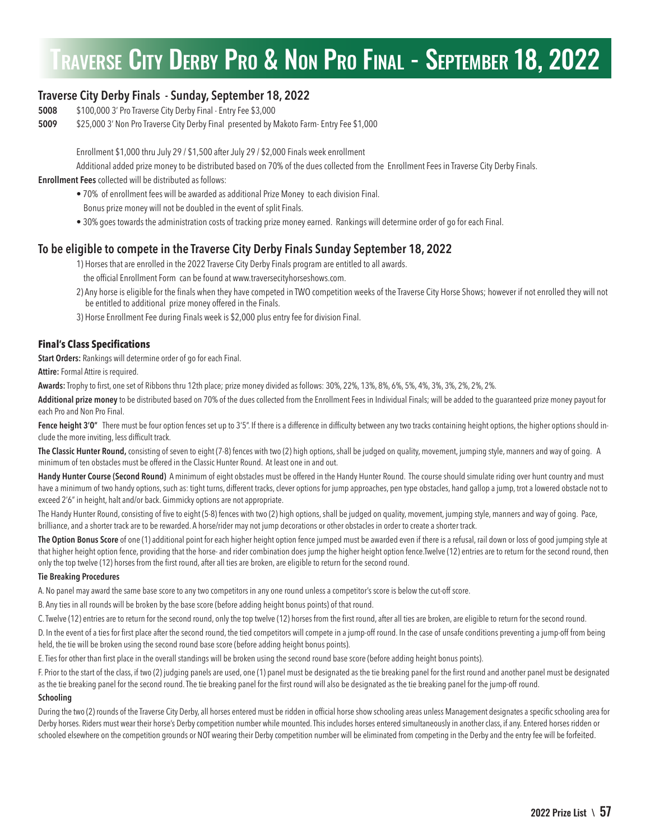# TRAVERSE CITY DERBY PRO & NON PRO FINAL - SEPTEMBER 18, 2022

## **Traverse City Derby Finals - Sunday, September 18, 2022**

- **5008** \$100,000 3' Pro Traverse City Derby Final Entry Fee \$3,000
- **5009** \$25,000 3' Non Pro Traverse City Derby Final presented by Makoto Farm- Entry Fee \$1,000

Enrollment \$1,000 thru July 29 / \$1,500 after July 29 / \$2,000 Finals week enrollment

Additional added prize money to be distributed based on 70% of the dues collected from the Enrollment Fees in Traverse City Derby Finals.

### **Enrollment Fees** collected will be distributed as follows:

- 70% of enrollment fees will be awarded as additional Prize Money to each division Final.
- Bonus prize money will not be doubled in the event of split Finals.
- 30% goes towards the administration costs of tracking prize money earned. Rankings will determine order of go for each Final.

### **To be eligible to compete in the Traverse City Derby Finals Sunday September 18, 2022**

1) Horses that are enrolled in the 2022 Traverse City Derby Finals program are entitled to all awards.

- the official Enrollment Form can be found at www.traversecityhorseshows.com.
- 2) Any horse is eligible for the finals when they have competed in TWO competition weeks of the Traverse City Horse Shows; however if not enrolled they will not be entitled to additional prize money offered in the Finals.
- 3) Horse Enrollment Fee during Finals week is \$2,000 plus entry fee for division Final.

### **Final's Class Specifications**

**Start Orders:** Rankings will determine order of go for each Final.

**Attire:** Formal Attire is required.

**Awards:** Trophy to first, one set of Ribbons thru 12th place; prize money divided as follows: 30%, 22%, 13%, 8%, 6%, 5%, 4%, 3%, 3%, 2%, 2%, 2%.

**Additional prize money** to be distributed based on 70% of the dues collected from the Enrollment Fees in Individual Finals; will be added to the guaranteed prize money payout for each Pro and Non Pro Final.

Fence height 3'0" There must be four option fences set up to 3'5". If there is a difference in difficulty between any two tracks containing height options, the higher options should include the more inviting, less difficult track.

**The Classic Hunter Round,** consisting of seven to eight (7-8) fences with two (2) high options, shall be judged on quality, movement, jumping style, manners and way of going. A minimum of ten obstacles must be offered in the Classic Hunter Round. At least one in and out.

Handy Hunter Course (Second Round) A minimum of eight obstacles must be offered in the Handy Hunter Round. The course should simulate riding over hunt country and must have a minimum of two handy options, such as: tight turns, different tracks, clever options for jump approaches, pen type obstacles, hand gallop a jump, trot a lowered obstacle not to exceed 2'6" in height, halt and/or back. Gimmicky options are not appropriate.

The Handy Hunter Round, consisting of five to eight (5-8) fences with two (2) high options, shall be judged on quality, movement, jumping style, manners and way of going. Pace, brilliance, and a shorter track are to be rewarded. A horse/rider may not jump decorations or other obstacles in order to create a shorter track.

**The Option Bonus Score** of one (1) additional point for each higher height option fence jumped must be awarded even if there is a refusal, rail down or loss of good jumping style at that higher height option fence, providing that the horse- and rider combination does jump the higher height option fence.Twelve (12) entries are to return for the second round, then only the top twelve (12) horses from the first round, after all ties are broken, are eligible to return for the second round.

### **Tie Breaking Procedures**

A. No panel may award the same base score to any two competitors in any one round unless a competitor's score is below the cut-off score.

B. Any ties in all rounds will be broken by the base score (before adding height bonus points) of that round.

C. Twelve (12) entries are to return for the second round, only the top twelve (12) horses from the first round, after all ties are broken, are eligible to return for the second round.

D. In the event of a ties for first place after the second round, the tied competitors will compete in a jump-off round. In the case of unsafe conditions preventing a jump-off from being held, the tie will be broken using the second round base score (before adding height bonus points).

E. Ties for other than first place in the overall standings will be broken using the second round base score (before adding height bonus points).

F. Prior to the start of the class, if two (2) judging panels are used, one (1) panel must be designated as the tie breaking panel for the first round and another panel must be designated as the tie breaking panel for the second round. The tie breaking panel for the first round will also be designated as the tie breaking panel for the jump-off round.

### **Schooling**

During the two (2) rounds of the Traverse City Derby, all horses entered must be ridden in official horse show schooling areas unless Management designates a specific schooling area for Derby horses. Riders must wear their horse's Derby competition number while mounted. This includes horses entered simultaneously in another class, if any. Entered horses ridden or schooled elsewhere on the competition grounds or NOT wearing their Derby competition number will be eliminated from competing in the Derby and the entry fee will be forfeited.